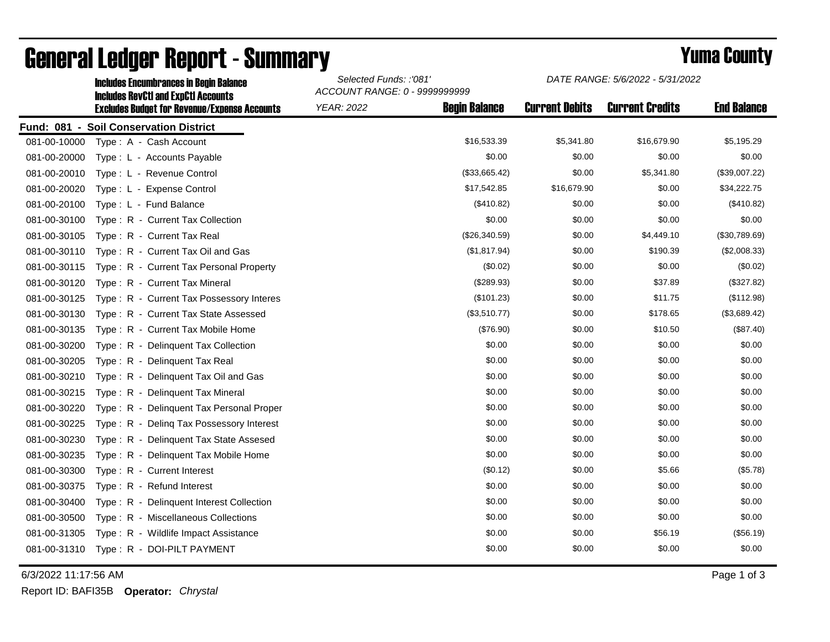|              | <b>Includes Encumbrances in Begin Balance</b><br><b>Includes RevCtI and ExpCtI Accounts</b><br><b>Excludes Budget for Revenue/Expense Accounts</b> | Selected Funds: :'081'<br>ACCOUNT RANGE: 0 - 9999999999 |                      | DATE RANGE: 5/6/2022 - 5/31/2022 |                        |                    |
|--------------|----------------------------------------------------------------------------------------------------------------------------------------------------|---------------------------------------------------------|----------------------|----------------------------------|------------------------|--------------------|
|              |                                                                                                                                                    | <b>YEAR: 2022</b>                                       | <b>Begin Balance</b> | <b>Current Debits</b>            | <b>Current Credits</b> | <b>End Balance</b> |
|              | Fund: 081 - Soil Conservation District                                                                                                             |                                                         |                      |                                  |                        |                    |
| 081-00-10000 | Type: A - Cash Account                                                                                                                             |                                                         | \$16,533.39          | \$5,341.80                       | \$16,679.90            | \$5,195.29         |
| 081-00-20000 | Type: L - Accounts Payable                                                                                                                         |                                                         | \$0.00               | \$0.00                           | \$0.00                 | \$0.00             |
| 081-00-20010 | Type: L - Revenue Control                                                                                                                          |                                                         | (\$33,665.42)        | \$0.00                           | \$5,341.80             | (\$39,007.22)      |
| 081-00-20020 | Type: L - Expense Control                                                                                                                          |                                                         | \$17,542.85          | \$16,679.90                      | \$0.00                 | \$34,222.75        |
| 081-00-20100 | Type: L - Fund Balance                                                                                                                             |                                                         | (\$410.82)           | \$0.00                           | \$0.00                 | (\$410.82)         |
| 081-00-30100 | Type: R - Current Tax Collection                                                                                                                   |                                                         | \$0.00               | \$0.00                           | \$0.00                 | \$0.00             |
| 081-00-30105 | Type: R - Current Tax Real                                                                                                                         |                                                         | (\$26,340.59)        | \$0.00                           | \$4,449.10             | (\$30,789.69)      |
| 081-00-30110 | Type: R - Current Tax Oil and Gas                                                                                                                  |                                                         | (\$1,817.94)         | \$0.00                           | \$190.39               | (\$2,008.33)       |
| 081-00-30115 | Type: R - Current Tax Personal Property                                                                                                            |                                                         | (\$0.02)             | \$0.00                           | \$0.00                 | (\$0.02)           |
| 081-00-30120 | Type: R - Current Tax Mineral                                                                                                                      |                                                         | (\$289.93)           | \$0.00                           | \$37.89                | (\$327.82)         |
| 081-00-30125 | Type: R - Current Tax Possessory Interes                                                                                                           |                                                         | (\$101.23)           | \$0.00                           | \$11.75                | (\$112.98)         |
| 081-00-30130 | Type: R - Current Tax State Assessed                                                                                                               |                                                         | (\$3,510.77)         | \$0.00                           | \$178.65               | (\$3,689.42)       |
| 081-00-30135 | Type: R - Current Tax Mobile Home                                                                                                                  |                                                         | (\$76.90)            | \$0.00                           | \$10.50                | (\$87.40)          |
| 081-00-30200 | Type: R - Delinquent Tax Collection                                                                                                                |                                                         | \$0.00               | \$0.00                           | \$0.00                 | \$0.00             |
| 081-00-30205 | Type: R - Delinquent Tax Real                                                                                                                      |                                                         | \$0.00               | \$0.00                           | \$0.00                 | \$0.00             |
| 081-00-30210 | Type: R - Delinquent Tax Oil and Gas                                                                                                               |                                                         | \$0.00               | \$0.00                           | \$0.00                 | \$0.00             |
| 081-00-30215 | Type: R - Delinquent Tax Mineral                                                                                                                   |                                                         | \$0.00               | \$0.00                           | \$0.00                 | \$0.00             |
| 081-00-30220 | Type: R - Delinquent Tax Personal Proper                                                                                                           |                                                         | \$0.00               | \$0.00                           | \$0.00                 | \$0.00             |
| 081-00-30225 | Type: R - Deling Tax Possessory Interest                                                                                                           |                                                         | \$0.00               | \$0.00                           | \$0.00                 | \$0.00             |
| 081-00-30230 | Type: R - Delinquent Tax State Assesed                                                                                                             |                                                         | \$0.00               | \$0.00                           | \$0.00                 | \$0.00             |
| 081-00-30235 | Type: R - Delinquent Tax Mobile Home                                                                                                               |                                                         | \$0.00               | \$0.00                           | \$0.00                 | \$0.00             |
| 081-00-30300 | Type: R - Current Interest                                                                                                                         |                                                         | (\$0.12)             | \$0.00                           | \$5.66                 | (\$5.78)           |
| 081-00-30375 | Type: R - Refund Interest                                                                                                                          |                                                         | \$0.00               | \$0.00                           | \$0.00                 | \$0.00             |
| 081-00-30400 | Type: R - Delinquent Interest Collection                                                                                                           |                                                         | \$0.00               | \$0.00                           | \$0.00                 | \$0.00             |
| 081-00-30500 | Type: R - Miscellaneous Collections                                                                                                                |                                                         | \$0.00               | \$0.00                           | \$0.00                 | \$0.00             |
| 081-00-31305 | Type: R - Wildlife Impact Assistance                                                                                                               |                                                         | \$0.00               | \$0.00                           | \$56.19                | (\$56.19)          |
| 081-00-31310 | Type: R - DOI-PILT PAYMENT                                                                                                                         |                                                         | \$0.00               | \$0.00                           | \$0.00                 | \$0.00             |

## General Ledger Report - Summary **Example 2018** Yuma County

6/3/2022 11:17:56 AM Page 1 of 3

Report ID: BAFI35B **Operator:** *Chrystal*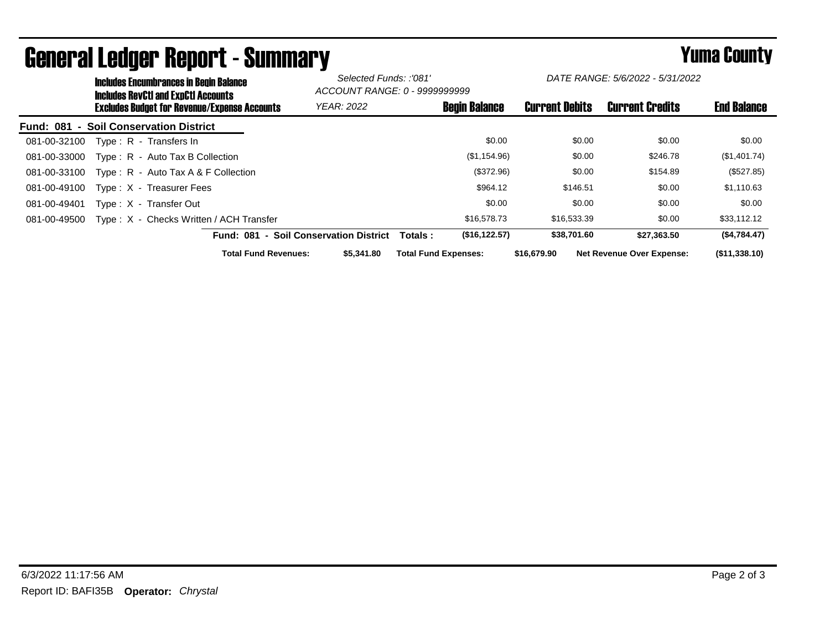| <b>Includes Encumbrances in Begin Balance</b><br><b>Includes RevCtI and ExpCtI Accounts</b> |                                        | Selected Funds: :'081'<br>ACCOUNT RANGE: 0 - 9999999999 |                       | DATE RANGE: 5/6/2022 - 5/31/2022 |                    |
|---------------------------------------------------------------------------------------------|----------------------------------------|---------------------------------------------------------|-----------------------|----------------------------------|--------------------|
| <b>Excludes Budget for Revenue/Expense Accounts</b>                                         | <b>YEAR: 2022</b>                      | <b>Begin Balance</b>                                    | <b>Current Debits</b> | <b>Current Credits</b>           | <b>End Balance</b> |
| - Soil Conservation District<br>Fund: 081                                                   |                                        |                                                         |                       |                                  |                    |
| Type: R - Transfers In<br>081-00-32100                                                      |                                        | \$0.00                                                  | \$0.00                | \$0.00                           | \$0.00             |
| Type: R - Auto Tax B Collection<br>081-00-33000                                             |                                        | (\$1,154.96)                                            | \$0.00                | \$246.78                         | (\$1,401.74)       |
| Type: $R -$ Auto Tax A & F Collection<br>081-00-33100                                       |                                        | (\$372.96)                                              | \$0.00                | \$154.89                         | (\$527.85)         |
| Type: X - Treasurer Fees<br>081-00-49100                                                    |                                        | \$964.12                                                | \$146.51              | \$0.00                           | \$1,110.63         |
| Type: X - Transfer Out<br>081-00-49401                                                      |                                        | \$0.00                                                  | \$0.00                | \$0.00                           | \$0.00             |
| Type: X - Checks Written / ACH Transfer<br>081-00-49500                                     |                                        | \$16,578.73                                             | \$16,533.39           | \$0.00                           | \$33,112.12        |
|                                                                                             | Fund: 081 - Soil Conservation District | (\$16, 122.57)<br>Totals :                              | \$38,701.60           | \$27,363.50                      | (\$4,784.47)       |
| <b>Total Fund Revenues:</b>                                                                 | \$5,341.80                             | <b>Total Fund Expenses:</b>                             | \$16.679.90           | <b>Net Revenue Over Expense:</b> | (\$11,338.10)      |

## General Ledger Report - Summary **Summary Yuma County**